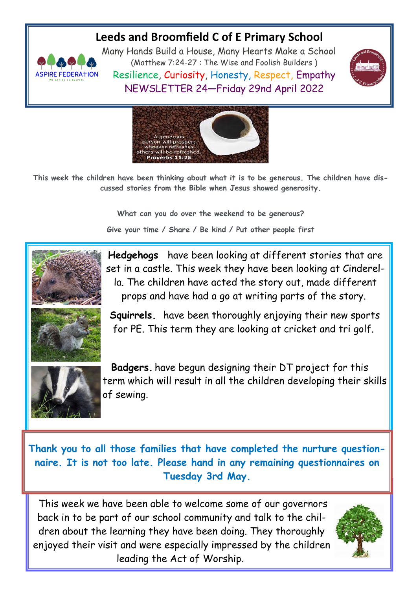## **Leeds and Broomfield C of E Primary School**



Many Hands Build a House, Many Hearts Make a School (Matthew 7:24-27 : The Wise and Foolish Builders ) Resilience, Curiosity, Honesty, Respect, Empathy NEWSLETTER 24—Friday 29nd April 2022





**This week the children have been thinking about what it is to be generous. The children have discussed stories from the Bible when Jesus showed generosity.**

> **What can you do over the weekend to be generous? Give your time / Share / Be kind / Put other people first**



**Hedgehogs** have been looking at different stories that are set in a castle. This week they have been looking at Cinderella. The children have acted the story out, made different props and have had a go at writing parts of the story.



**Squirrels.** have been thoroughly enjoying their new sports for PE. This term they are looking at cricket and tri golf.



 **Badgers.** have begun designing their DT project for this term which will result in all the children developing their skills of sewing.

**Thank you to all those families that have completed the nurture questionnaire. It is not too late. Please hand in any remaining questionnaires on Tuesday 3rd May.** 

This week we have been able to welcome some of our governors back in to be part of our school community and talk to the children about the learning they have been doing. They thoroughly enjoyed their visit and were especially impressed by the children leading the Act of Worship.

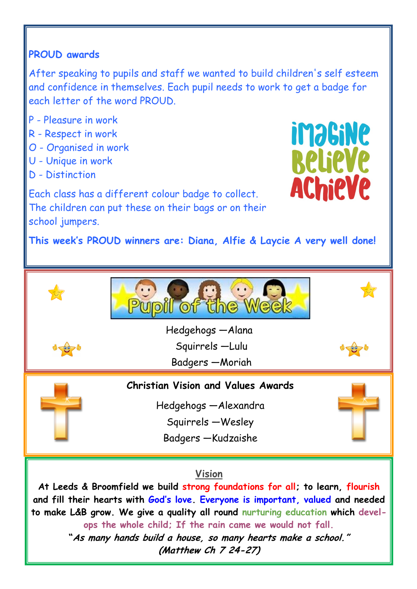## **PROUD awards**

After speaking to pupils and staff we wanted to build children's self esteem and confidence in themselves. Each pupil needs to work to get a badge for each letter of the word PROUD.

- P Pleasure in work
- R Respect in work
- O Organised in work
- U Unique in work
- D Distinction



Each class has a different colour badge to collect. The children can put these on their bags or on their school jumpers.

**This week's PROUD winners are: Diana, Alfie & Laycie A very well done!** 



## **Vision**

**At Leeds & Broomfield we build strong foundations for all; to learn, flourish and fill their hearts with God's love. Everyone is important, valued and needed to make L&B grow. We give a quality all round nurturing education which develops the whole child; If the rain came we would not fall. "As many hands build a house, so many hearts make a school."**

**(Matthew Ch 7 24-27)**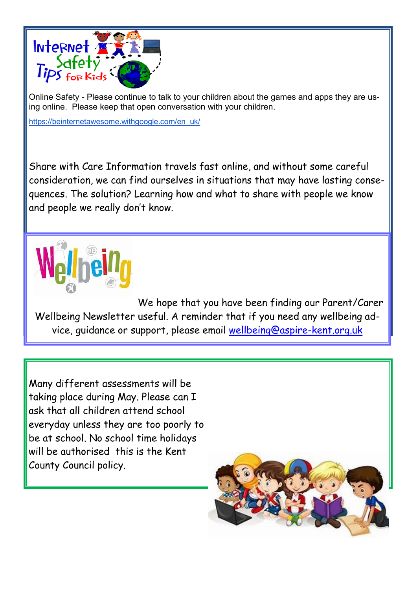

Online Safety - Please continue to talk to your children about the games and apps they are using online. Please keep that open conversation with your children.

[https://beinternetawesome.withgoogle.com/en\\_uk/](https://beinternetawesome.withgoogle.com/en_uk/)

Share with Care Information travels fast online, and without some careful consideration, we can find ourselves in situations that may have lasting consequences. The solution? Learning how and what to share with people we know and people we really don't know.



We hope that you have been finding our Parent/Carer Wellbeing Newsletter useful. A reminder that if you need any wellbeing advice, guidance or support, please email [wellbeing@aspire-kent.org.uk](mailto:wellbeing@aspire-kent.org.uk)

Many different assessments will be taking place during May. Please can I ask that all children attend school everyday unless they are too poorly to be at school. No school time holidays will be authorised this is the Kent County Council policy.